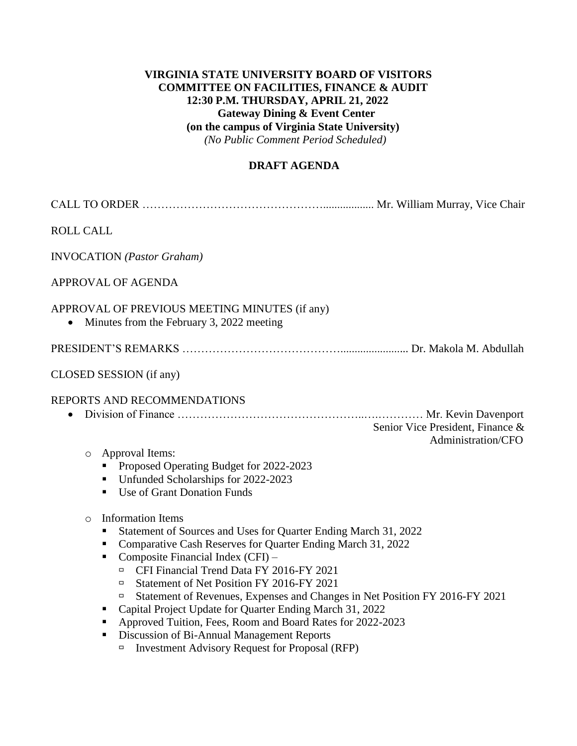## **VIRGINIA STATE UNIVERSITY BOARD OF VISITORS COMMITTEE ON FACILITIES, FINANCE & AUDIT 12:30 P.M. THURSDAY, APRIL 21, 2022 Gateway Dining & Event Center (on the campus of Virginia State University)**  *(No Public Comment Period Scheduled)*

## **DRAFT AGENDA**

| <b>ROLL CALL</b>                                                                                                                                                                                                                                                                                                                                                                                                                                                                                                                                                                                                                                                                                                                                                                                                                                                                                                           |  |  |  |
|----------------------------------------------------------------------------------------------------------------------------------------------------------------------------------------------------------------------------------------------------------------------------------------------------------------------------------------------------------------------------------------------------------------------------------------------------------------------------------------------------------------------------------------------------------------------------------------------------------------------------------------------------------------------------------------------------------------------------------------------------------------------------------------------------------------------------------------------------------------------------------------------------------------------------|--|--|--|
| <b>INVOCATION</b> (Pastor Graham)                                                                                                                                                                                                                                                                                                                                                                                                                                                                                                                                                                                                                                                                                                                                                                                                                                                                                          |  |  |  |
| APPROVAL OF AGENDA                                                                                                                                                                                                                                                                                                                                                                                                                                                                                                                                                                                                                                                                                                                                                                                                                                                                                                         |  |  |  |
| APPROVAL OF PREVIOUS MEETING MINUTES (if any)<br>Minutes from the February 3, 2022 meeting<br>$\bullet$                                                                                                                                                                                                                                                                                                                                                                                                                                                                                                                                                                                                                                                                                                                                                                                                                    |  |  |  |
|                                                                                                                                                                                                                                                                                                                                                                                                                                                                                                                                                                                                                                                                                                                                                                                                                                                                                                                            |  |  |  |
| CLOSED SESSION (if any)                                                                                                                                                                                                                                                                                                                                                                                                                                                                                                                                                                                                                                                                                                                                                                                                                                                                                                    |  |  |  |
| REPORTS AND RECOMMENDATIONS<br>$\bullet$<br>Senior Vice President, Finance &<br>Administration/CFO<br>Approval Items:<br>$\circ$<br>Proposed Operating Budget for 2022-2023<br>Unfunded Scholarships for 2022-2023<br>п<br>Use of Grant Donation Funds<br>٠<br><b>Information Items</b><br>$\circ$<br>Statement of Sources and Uses for Quarter Ending March 31, 2022<br>Comparative Cash Reserves for Quarter Ending March 31, 2022<br>Composite Financial Index (CFI) -<br>٠<br>CFI Financial Trend Data FY 2016-FY 2021<br>$\Box$<br>Statement of Net Position FY 2016-FY 2021<br>$\Box$<br>Statement of Revenues, Expenses and Changes in Net Position FY 2016-FY 2021<br>Ξ<br>Capital Project Update for Quarter Ending March 31, 2022<br>Approved Tuition, Fees, Room and Board Rates for 2022-2023<br>Discussion of Bi-Annual Management Reports<br><b>Investment Advisory Request for Proposal (RFP)</b><br>$\Box$ |  |  |  |
|                                                                                                                                                                                                                                                                                                                                                                                                                                                                                                                                                                                                                                                                                                                                                                                                                                                                                                                            |  |  |  |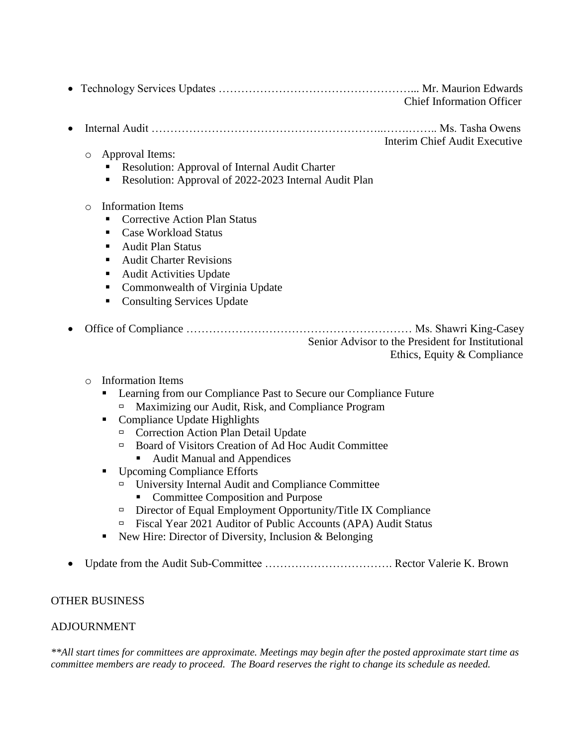|  | <b>Chief Information Officer</b> |
|--|----------------------------------|

• Internal Audit ……………………………………………………..…….…….. Ms. Tasha Owens

Interim Chief Audit Executive

- o Approval Items:
	- Resolution: Approval of Internal Audit Charter
	- Resolution: Approval of 2022-2023 Internal Audit Plan
- o Information Items
	- Corrective Action Plan Status
	- Case Workload Status
	- Audit Plan Status
	- Audit Charter Revisions
	- Audit Activities Update
	- Commonwealth of Virginia Update
	- Consulting Services Update
- Office of Compliance ………………………………………………………… Ms. Shawri King-Casey Senior Advisor to the President for Institutional Ethics, Equity & Compliance
	- o Information Items
		- Learning from our Compliance Past to Secure our Compliance Future
			- $\Box$  Maximizing our Audit, Risk, and Compliance Program
		- Compliance Update Highlights
			- <sup> $\Box$ </sup> Correction Action Plan Detail Update
			- □ Board of Visitors Creation of Ad Hoc Audit Committee
				- Audit Manual and Appendices
		- Upcoming Compliance Efforts
			- University Internal Audit and Compliance Committee
				- Committee Composition and Purpose
			- $\Box$  Director of Equal Employment Opportunity/Title IX Compliance
			- Fiscal Year 2021 Auditor of Public Accounts (APA) Audit Status
		- $\blacksquare$  New Hire: Director of Diversity, Inclusion & Belonging
- Update from the Audit Sub-Committee ……………………………. Rector Valerie K. Brown

# OTHER BUSINESS

# ADJOURNMENT

*\*\*All start times for committees are approximate. Meetings may begin after the posted approximate start time as committee members are ready to proceed. The Board reserves the right to change its schedule as needed.*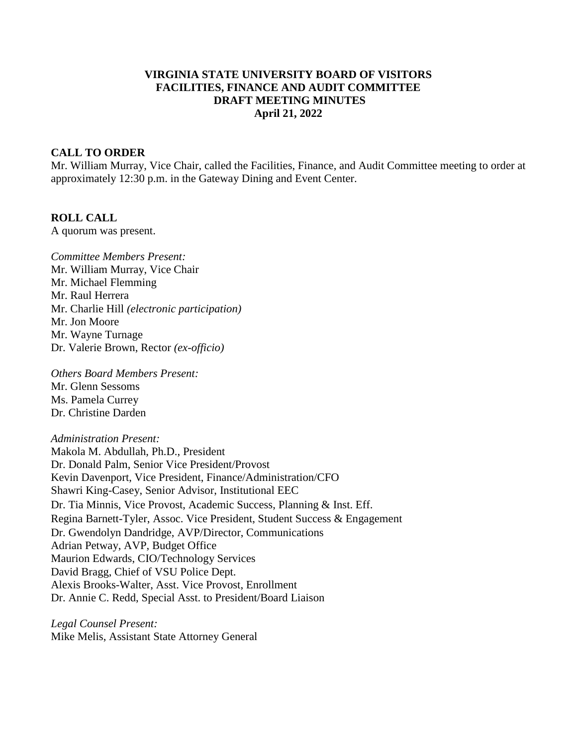#### **VIRGINIA STATE UNIVERSITY BOARD OF VISITORS FACILITIES, FINANCE AND AUDIT COMMITTEE DRAFT MEETING MINUTES April 21, 2022**

#### **CALL TO ORDER**

Mr. William Murray, Vice Chair, called the Facilities, Finance, and Audit Committee meeting to order at approximately 12:30 p.m. in the Gateway Dining and Event Center.

#### **ROLL CALL**

A quorum was present.

*Committee Members Present:* Mr. William Murray, Vice Chair Mr. Michael Flemming Mr. Raul Herrera Mr. Charlie Hill *(electronic participation)* Mr. Jon Moore Mr. Wayne Turnage Dr. Valerie Brown, Rector *(ex-officio)*

*Others Board Members Present:* Mr. Glenn Sessoms Ms. Pamela Currey Dr. Christine Darden

*Administration Present:*

Makola M. Abdullah, Ph.D., President Dr. Donald Palm, Senior Vice President/Provost Kevin Davenport, Vice President, Finance/Administration/CFO Shawri King-Casey, Senior Advisor, Institutional EEC Dr. Tia Minnis, Vice Provost, Academic Success, Planning & Inst. Eff. Regina Barnett-Tyler, Assoc. Vice President, Student Success & Engagement Dr. Gwendolyn Dandridge, AVP/Director, Communications Adrian Petway, AVP, Budget Office Maurion Edwards, CIO/Technology Services David Bragg, Chief of VSU Police Dept. Alexis Brooks-Walter, Asst. Vice Provost, Enrollment Dr. Annie C. Redd, Special Asst. to President/Board Liaison

*Legal Counsel Present:* Mike Melis, Assistant State Attorney General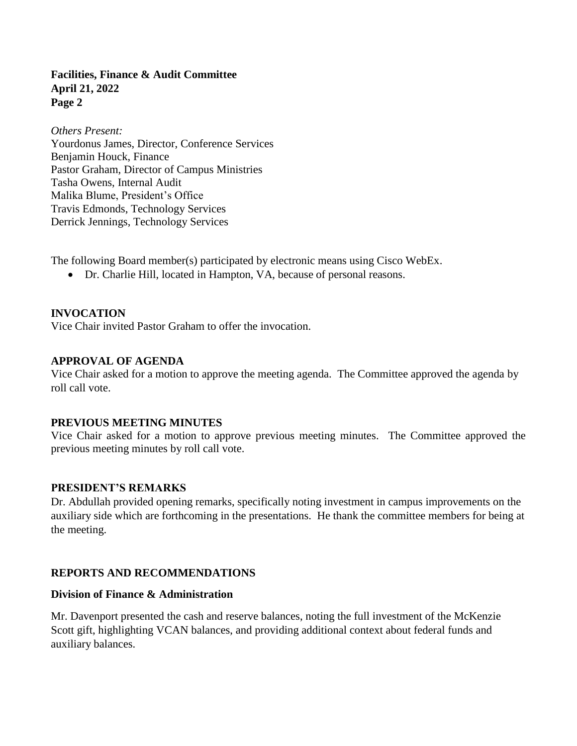*Others Present:* Yourdonus James, Director, Conference Services Benjamin Houck, Finance Pastor Graham, Director of Campus Ministries Tasha Owens, Internal Audit Malika Blume, President's Office Travis Edmonds, Technology Services Derrick Jennings, Technology Services

The following Board member(s) participated by electronic means using Cisco WebEx.

• Dr. Charlie Hill, located in Hampton, VA, because of personal reasons.

### **INVOCATION**

Vice Chair invited Pastor Graham to offer the invocation.

#### **APPROVAL OF AGENDA**

Vice Chair asked for a motion to approve the meeting agenda. The Committee approved the agenda by roll call vote.

#### **PREVIOUS MEETING MINUTES**

Vice Chair asked for a motion to approve previous meeting minutes. The Committee approved the previous meeting minutes by roll call vote.

#### **PRESIDENT'S REMARKS**

Dr. Abdullah provided opening remarks, specifically noting investment in campus improvements on the auxiliary side which are forthcoming in the presentations. He thank the committee members for being at the meeting.

#### **REPORTS AND RECOMMENDATIONS**

#### **Division of Finance & Administration**

Mr. Davenport presented the cash and reserve balances, noting the full investment of the McKenzie Scott gift, highlighting VCAN balances, and providing additional context about federal funds and auxiliary balances.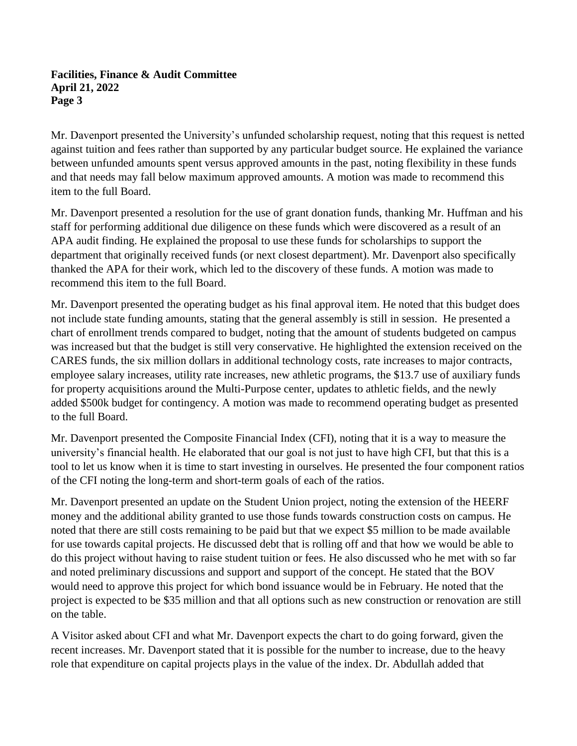Mr. Davenport presented the University's unfunded scholarship request, noting that this request is netted against tuition and fees rather than supported by any particular budget source. He explained the variance between unfunded amounts spent versus approved amounts in the past, noting flexibility in these funds and that needs may fall below maximum approved amounts. A motion was made to recommend this item to the full Board.

Mr. Davenport presented a resolution for the use of grant donation funds, thanking Mr. Huffman and his staff for performing additional due diligence on these funds which were discovered as a result of an APA audit finding. He explained the proposal to use these funds for scholarships to support the department that originally received funds (or next closest department). Mr. Davenport also specifically thanked the APA for their work, which led to the discovery of these funds. A motion was made to recommend this item to the full Board.

Mr. Davenport presented the operating budget as his final approval item. He noted that this budget does not include state funding amounts, stating that the general assembly is still in session. He presented a chart of enrollment trends compared to budget, noting that the amount of students budgeted on campus was increased but that the budget is still very conservative. He highlighted the extension received on the CARES funds, the six million dollars in additional technology costs, rate increases to major contracts, employee salary increases, utility rate increases, new athletic programs, the \$13.7 use of auxiliary funds for property acquisitions around the Multi-Purpose center, updates to athletic fields, and the newly added \$500k budget for contingency. A motion was made to recommend operating budget as presented to the full Board.

Mr. Davenport presented the Composite Financial Index (CFI), noting that it is a way to measure the university's financial health. He elaborated that our goal is not just to have high CFI, but that this is a tool to let us know when it is time to start investing in ourselves. He presented the four component ratios of the CFI noting the long-term and short-term goals of each of the ratios.

Mr. Davenport presented an update on the Student Union project, noting the extension of the HEERF money and the additional ability granted to use those funds towards construction costs on campus. He noted that there are still costs remaining to be paid but that we expect \$5 million to be made available for use towards capital projects. He discussed debt that is rolling off and that how we would be able to do this project without having to raise student tuition or fees. He also discussed who he met with so far and noted preliminary discussions and support and support of the concept. He stated that the BOV would need to approve this project for which bond issuance would be in February. He noted that the project is expected to be \$35 million and that all options such as new construction or renovation are still on the table.

A Visitor asked about CFI and what Mr. Davenport expects the chart to do going forward, given the recent increases. Mr. Davenport stated that it is possible for the number to increase, due to the heavy role that expenditure on capital projects plays in the value of the index. Dr. Abdullah added that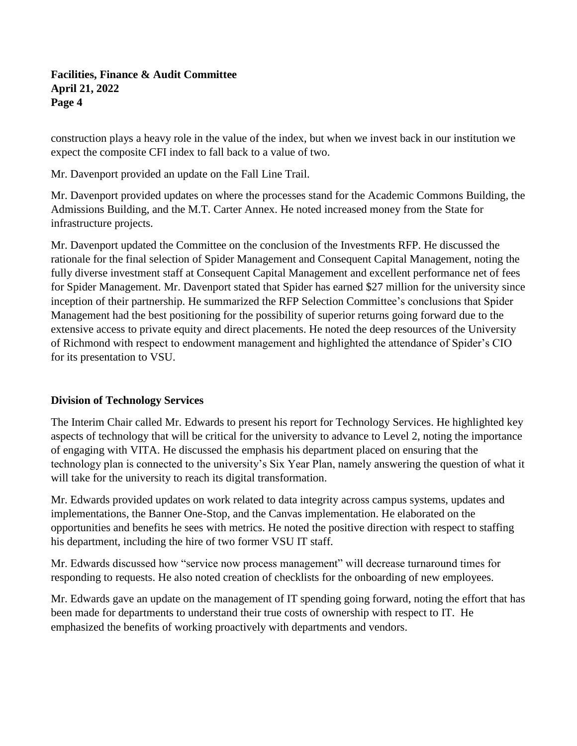construction plays a heavy role in the value of the index, but when we invest back in our institution we expect the composite CFI index to fall back to a value of two.

Mr. Davenport provided an update on the Fall Line Trail.

Mr. Davenport provided updates on where the processes stand for the Academic Commons Building, the Admissions Building, and the M.T. Carter Annex. He noted increased money from the State for infrastructure projects.

Mr. Davenport updated the Committee on the conclusion of the Investments RFP. He discussed the rationale for the final selection of Spider Management and Consequent Capital Management, noting the fully diverse investment staff at Consequent Capital Management and excellent performance net of fees for Spider Management. Mr. Davenport stated that Spider has earned \$27 million for the university since inception of their partnership. He summarized the RFP Selection Committee's conclusions that Spider Management had the best positioning for the possibility of superior returns going forward due to the extensive access to private equity and direct placements. He noted the deep resources of the University of Richmond with respect to endowment management and highlighted the attendance of Spider's CIO for its presentation to VSU.

## **Division of Technology Services**

The Interim Chair called Mr. Edwards to present his report for Technology Services. He highlighted key aspects of technology that will be critical for the university to advance to Level 2, noting the importance of engaging with VITA. He discussed the emphasis his department placed on ensuring that the technology plan is connected to the university's Six Year Plan, namely answering the question of what it will take for the university to reach its digital transformation.

Mr. Edwards provided updates on work related to data integrity across campus systems, updates and implementations, the Banner One-Stop, and the Canvas implementation. He elaborated on the opportunities and benefits he sees with metrics. He noted the positive direction with respect to staffing his department, including the hire of two former VSU IT staff.

Mr. Edwards discussed how "service now process management" will decrease turnaround times for responding to requests. He also noted creation of checklists for the onboarding of new employees.

Mr. Edwards gave an update on the management of IT spending going forward, noting the effort that has been made for departments to understand their true costs of ownership with respect to IT. He emphasized the benefits of working proactively with departments and vendors.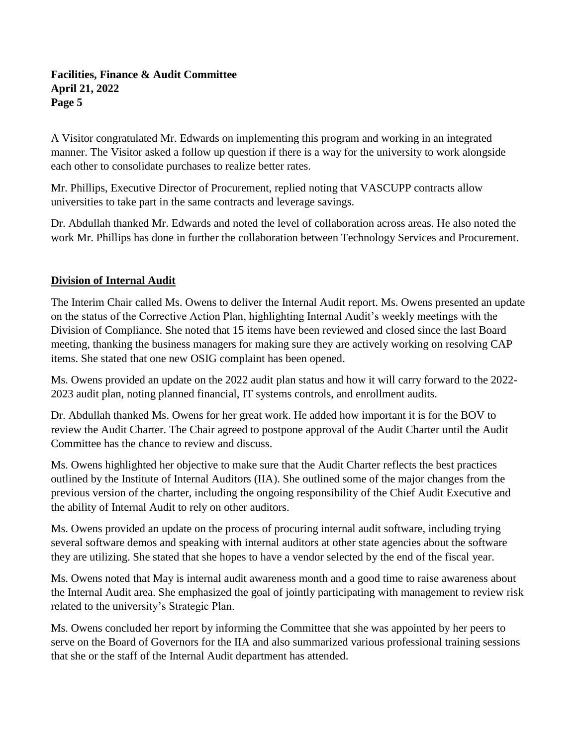A Visitor congratulated Mr. Edwards on implementing this program and working in an integrated manner. The Visitor asked a follow up question if there is a way for the university to work alongside each other to consolidate purchases to realize better rates.

Mr. Phillips, Executive Director of Procurement, replied noting that VASCUPP contracts allow universities to take part in the same contracts and leverage savings.

Dr. Abdullah thanked Mr. Edwards and noted the level of collaboration across areas. He also noted the work Mr. Phillips has done in further the collaboration between Technology Services and Procurement.

# **Division of Internal Audit**

The Interim Chair called Ms. Owens to deliver the Internal Audit report. Ms. Owens presented an update on the status of the Corrective Action Plan, highlighting Internal Audit's weekly meetings with the Division of Compliance. She noted that 15 items have been reviewed and closed since the last Board meeting, thanking the business managers for making sure they are actively working on resolving CAP items. She stated that one new OSIG complaint has been opened.

Ms. Owens provided an update on the 2022 audit plan status and how it will carry forward to the 2022- 2023 audit plan, noting planned financial, IT systems controls, and enrollment audits.

Dr. Abdullah thanked Ms. Owens for her great work. He added how important it is for the BOV to review the Audit Charter. The Chair agreed to postpone approval of the Audit Charter until the Audit Committee has the chance to review and discuss.

Ms. Owens highlighted her objective to make sure that the Audit Charter reflects the best practices outlined by the Institute of Internal Auditors (IIA). She outlined some of the major changes from the previous version of the charter, including the ongoing responsibility of the Chief Audit Executive and the ability of Internal Audit to rely on other auditors.

Ms. Owens provided an update on the process of procuring internal audit software, including trying several software demos and speaking with internal auditors at other state agencies about the software they are utilizing. She stated that she hopes to have a vendor selected by the end of the fiscal year.

Ms. Owens noted that May is internal audit awareness month and a good time to raise awareness about the Internal Audit area. She emphasized the goal of jointly participating with management to review risk related to the university's Strategic Plan.

Ms. Owens concluded her report by informing the Committee that she was appointed by her peers to serve on the Board of Governors for the IIA and also summarized various professional training sessions that she or the staff of the Internal Audit department has attended.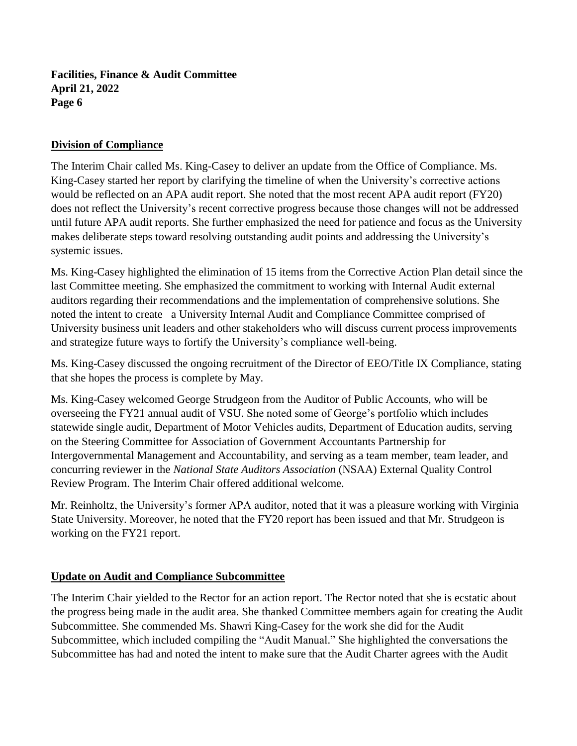## **Division of Compliance**

The Interim Chair called Ms. King-Casey to deliver an update from the Office of Compliance. Ms. King-Casey started her report by clarifying the timeline of when the University's corrective actions would be reflected on an APA audit report. She noted that the most recent APA audit report (FY20) does not reflect the University's recent corrective progress because those changes will not be addressed until future APA audit reports. She further emphasized the need for patience and focus as the University makes deliberate steps toward resolving outstanding audit points and addressing the University's systemic issues.

Ms. King-Casey highlighted the elimination of 15 items from the Corrective Action Plan detail since the last Committee meeting. She emphasized the commitment to working with Internal Audit external auditors regarding their recommendations and the implementation of comprehensive solutions. She noted the intent to create a University Internal Audit and Compliance Committee comprised of University business unit leaders and other stakeholders who will discuss current process improvements and strategize future ways to fortify the University's compliance well-being.

Ms. King-Casey discussed the ongoing recruitment of the Director of EEO/Title IX Compliance, stating that she hopes the process is complete by May.

Ms. King-Casey welcomed George Strudgeon from the Auditor of Public Accounts, who will be overseeing the FY21 annual audit of VSU. She noted some of George's portfolio which includes statewide single audit, Department of Motor Vehicles audits, Department of Education audits, serving on the Steering Committee for Association of Government Accountants Partnership for Intergovernmental Management and Accountability, and serving as a team member, team leader, and concurring reviewer in the *National State Auditors Association* (NSAA) External Quality Control Review Program. The Interim Chair offered additional welcome.

Mr. Reinholtz, the University's former APA auditor, noted that it was a pleasure working with Virginia State University. Moreover, he noted that the FY20 report has been issued and that Mr. Strudgeon is working on the FY21 report.

## **Update on Audit and Compliance Subcommittee**

The Interim Chair yielded to the Rector for an action report. The Rector noted that she is ecstatic about the progress being made in the audit area. She thanked Committee members again for creating the Audit Subcommittee. She commended Ms. Shawri King-Casey for the work she did for the Audit Subcommittee, which included compiling the "Audit Manual." She highlighted the conversations the Subcommittee has had and noted the intent to make sure that the Audit Charter agrees with the Audit